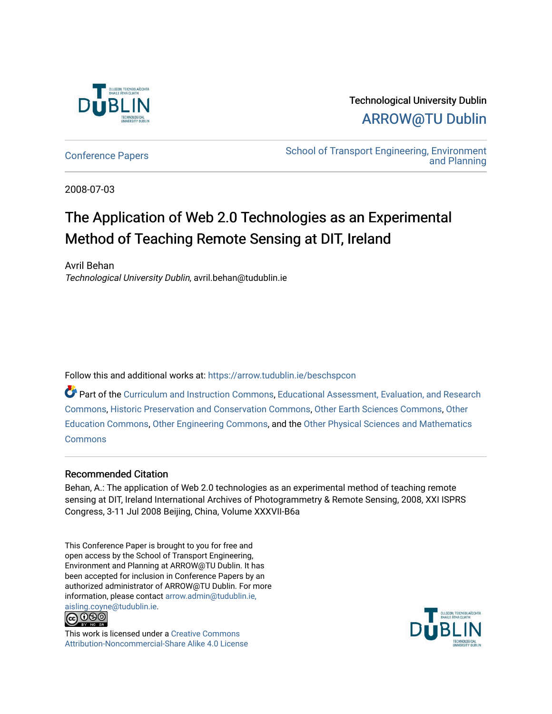

Technological University Dublin [ARROW@TU Dublin](https://arrow.tudublin.ie/) 

[Conference Papers](https://arrow.tudublin.ie/beschspcon) [School of Transport Engineering, Environment](https://arrow.tudublin.ie/beschsp)  [and Planning](https://arrow.tudublin.ie/beschsp) 

2008-07-03

# The Application of Web 2.0 Technologies as an Experimental Method of Teaching Remote Sensing at DIT, Ireland

Avril Behan Technological University Dublin, avril.behan@tudublin.ie

Follow this and additional works at: [https://arrow.tudublin.ie/beschspcon](https://arrow.tudublin.ie/beschspcon?utm_source=arrow.tudublin.ie%2Fbeschspcon%2F9&utm_medium=PDF&utm_campaign=PDFCoverPages) 

Part of the [Curriculum and Instruction Commons,](http://network.bepress.com/hgg/discipline/786?utm_source=arrow.tudublin.ie%2Fbeschspcon%2F9&utm_medium=PDF&utm_campaign=PDFCoverPages) [Educational Assessment, Evaluation, and Research](http://network.bepress.com/hgg/discipline/796?utm_source=arrow.tudublin.ie%2Fbeschspcon%2F9&utm_medium=PDF&utm_campaign=PDFCoverPages)  [Commons](http://network.bepress.com/hgg/discipline/796?utm_source=arrow.tudublin.ie%2Fbeschspcon%2F9&utm_medium=PDF&utm_campaign=PDFCoverPages), [Historic Preservation and Conservation Commons,](http://network.bepress.com/hgg/discipline/781?utm_source=arrow.tudublin.ie%2Fbeschspcon%2F9&utm_medium=PDF&utm_campaign=PDFCoverPages) [Other Earth Sciences Commons](http://network.bepress.com/hgg/discipline/166?utm_source=arrow.tudublin.ie%2Fbeschspcon%2F9&utm_medium=PDF&utm_campaign=PDFCoverPages), [Other](http://network.bepress.com/hgg/discipline/811?utm_source=arrow.tudublin.ie%2Fbeschspcon%2F9&utm_medium=PDF&utm_campaign=PDFCoverPages) [Education Commons,](http://network.bepress.com/hgg/discipline/811?utm_source=arrow.tudublin.ie%2Fbeschspcon%2F9&utm_medium=PDF&utm_campaign=PDFCoverPages) [Other Engineering Commons](http://network.bepress.com/hgg/discipline/315?utm_source=arrow.tudublin.ie%2Fbeschspcon%2F9&utm_medium=PDF&utm_campaign=PDFCoverPages), and the [Other Physical Sciences and Mathematics](http://network.bepress.com/hgg/discipline/216?utm_source=arrow.tudublin.ie%2Fbeschspcon%2F9&utm_medium=PDF&utm_campaign=PDFCoverPages)  **[Commons](http://network.bepress.com/hgg/discipline/216?utm_source=arrow.tudublin.ie%2Fbeschspcon%2F9&utm_medium=PDF&utm_campaign=PDFCoverPages)** 

## Recommended Citation

Behan, A.: The application of Web 2.0 technologies as an experimental method of teaching remote sensing at DIT, Ireland International Archives of Photogrammetry & Remote Sensing, 2008, XXI ISPRS Congress, 3-11 Jul 2008 Beijing, China, Volume XXXVII-B6a

This Conference Paper is brought to you for free and open access by the School of Transport Engineering, Environment and Planning at ARROW@TU Dublin. It has been accepted for inclusion in Conference Papers by an authorized administrator of ARROW@TU Dublin. For more information, please contact [arrow.admin@tudublin.ie,](mailto:arrow.admin@tudublin.ie,%20aisling.coyne@tudublin.ie)  [aisling.coyne@tudublin.ie.](mailto:arrow.admin@tudublin.ie,%20aisling.coyne@tudublin.ie)<br>@009



This work is licensed under a [Creative Commons](http://creativecommons.org/licenses/by-nc-sa/4.0/) [Attribution-Noncommercial-Share Alike 4.0 License](http://creativecommons.org/licenses/by-nc-sa/4.0/)

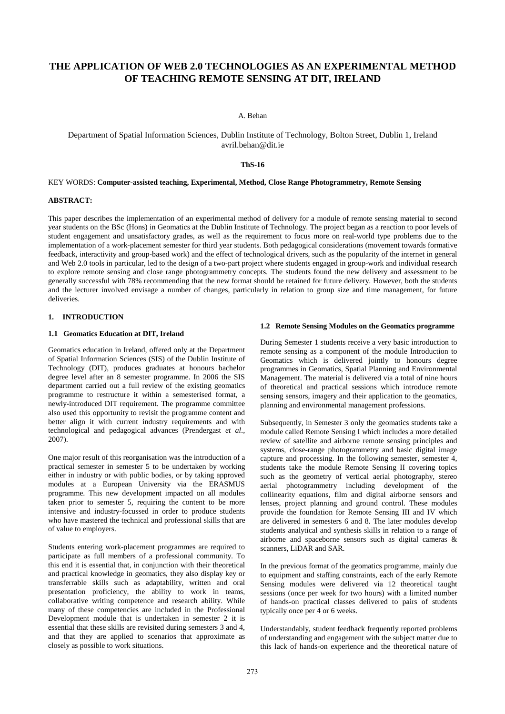# **THE APPLICATION OF WEB 2.0 TECHNOLOGIES AS AN EXPERIMENTAL METHOD OF TEACHING REMOTE SENSING AT DIT, IRELAND**

## A. Behan

## Department of Spatial Information Sciences, Dublin Institute of Technology, Bolton Street, Dublin 1, Ireland avril.behan@dit.ie

## **ThS-16**

## KEY WORDS: **Computer-assisted teaching, Experimental, Method, Close Range Photogrammetry, Remote Sensing**

## **ABSTRACT:**

This paper describes the implementation of an experimental method of delivery for a module of remote sensing material to second year students on the BSc (Hons) in Geomatics at the Dublin Institute of Technology. The project began as a reaction to poor levels of student engagement and unsatisfactory grades, as well as the requirement to focus more on real-world type problems due to the implementation of a work-placement semester for third year students. Both pedagogical considerations (movement towards formative feedback, interactivity and group-based work) and the effect of technological drivers, such as the popularity of the internet in general and Web 2.0 tools in particular, led to the design of a two-part project where students engaged in group-work and individual research to explore remote sensing and close range photogrammetry concepts. The students found the new delivery and assessment to be generally successful with 78% recommending that the new format should be retained for future delivery. However, both the students and the lecturer involved envisage a number of changes, particularly in relation to group size and time management, for future deliveries.

## **1. INTRODUCTION**

#### **1.1 Geomatics Education at DIT, Ireland**

Geomatics education in Ireland, offered only at the Department of Spatial Information Sciences (SIS) of the Dublin Institute of Technology (DIT), produces graduates at honours bachelor degree level after an 8 semester programme. In 2006 the SIS department carried out a full review of the existing geomatics programme to restructure it within a semesterised format, a newly-introduced DIT requirement. The programme committee also used this opportunity to revisit the programme content and better align it with current industry requirements and with technological and pedagogical advances (Prendergast *et al*.*,*  2007).

One major result of this reorganisation was the introduction of a practical semester in semester 5 to be undertaken by working either in industry or with public bodies, or by taking approved modules at a European University via the ERASMUS programme. This new development impacted on all modules taken prior to semester 5, requiring the content to be more intensive and industry-focussed in order to produce students who have mastered the technical and professional skills that are of value to employers.

Students entering work-placement programmes are required to participate as full members of a professional community. To this end it is essential that, in conjunction with their theoretical and practical knowledge in geomatics, they also display key or transferrable skills such as adaptability, written and oral presentation proficiency, the ability to work in teams, collaborative writing competence and research ability. While many of these competencies are included in the Professional Development module that is undertaken in semester 2 it is essential that these skills are revisited during semesters 3 and 4, and that they are applied to scenarios that approximate as closely as possible to work situations.

#### **1.2 Remote Sensing Modules on the Geomatics programme**

During Semester 1 students receive a very basic introduction to remote sensing as a component of the module Introduction to Geomatics which is delivered jointly to honours degree programmes in Geomatics, Spatial Planning and Environmental Management. The material is delivered via a total of nine hours of theoretical and practical sessions which introduce remote sensing sensors, imagery and their application to the geomatics, planning and environmental management professions.

Subsequently, in Semester 3 only the geomatics students take a module called Remote Sensing I which includes a more detailed review of satellite and airborne remote sensing principles and systems, close-range photogrammetry and basic digital image capture and processing. In the following semester, semester 4, students take the module Remote Sensing II covering topics such as the geometry of vertical aerial photography, stereo aerial photogrammetry including development of the collinearity equations, film and digital airborne sensors and lenses, project planning and ground control. These modules provide the foundation for Remote Sensing III and IV which are delivered in semesters 6 and 8. The later modules develop students analytical and synthesis skills in relation to a range of airborne and spaceborne sensors such as digital cameras & scanners, LiDAR and SAR.

In the previous format of the geomatics programme, mainly due to equipment and staffing constraints, each of the early Remote Sensing modules were delivered via 12 theoretical taught sessions (once per week for two hours) with a limited number of hands-on practical classes delivered to pairs of students typically once per 4 or 6 weeks.

Understandably, student feedback frequently reported problems of understanding and engagement with the subject matter due to this lack of hands-on experience and the theoretical nature of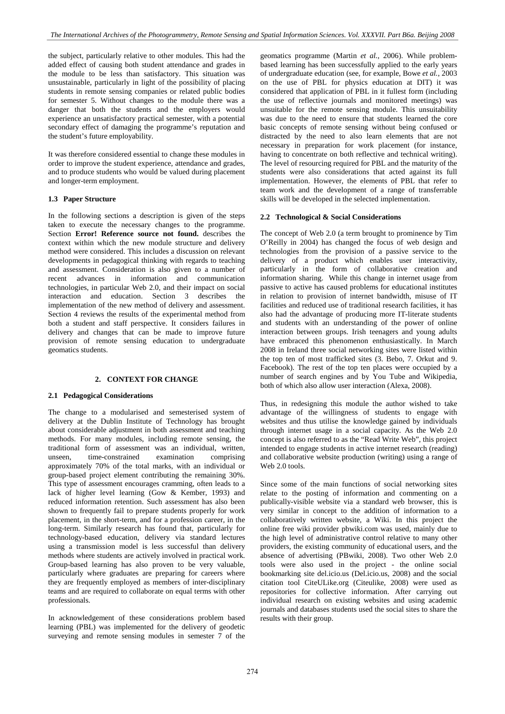the subject, particularly relative to other modules. This had the added effect of causing both student attendance and grades in the module to be less than satisfactory. This situation was unsustainable, particularly in light of the possibility of placing students in remote sensing companies or related public bodies for semester 5. Without changes to the module there was a danger that both the students and the employers would experience an unsatisfactory practical semester, with a potential secondary effect of damaging the programme's reputation and the student's future employability.

It was therefore considered essential to change these modules in order to improve the student experience, attendance and grades, and to produce students who would be valued during placement and longer-term employment.

## **1.3 Paper Structure**

In the following sections a description is given of the steps taken to execute the necessary changes to the programme. Section **Error! Reference source not found.** describes the context within which the new module structure and delivery method were considered. This includes a discussion on relevant developments in pedagogical thinking with regards to teaching and assessment. Consideration is also given to a number of recent advances in information and communication technologies, in particular Web 2.0, and their impact on social interaction and education. Section 3 describes the implementation of the new method of delivery and assessment. Section 4 reviews the results of the experimental method from both a student and staff perspective. It considers failures in delivery and changes that can be made to improve future provision of remote sensing education to undergraduate geomatics students.

## **2. CONTEXT FOR CHANGE**

## **2.1 Pedagogical Considerations**

The change to a modularised and semesterised system of delivery at the Dublin Institute of Technology has brought about considerable adjustment in both assessment and teaching methods. For many modules, including remote sensing, the traditional form of assessment was an individual, written, unseen, time-constrained examination comprising approximately 70% of the total marks, with an individual or group-based project element contributing the remaining 30%. This type of assessment encourages cramming, often leads to a lack of higher level learning (Gow & Kember, 1993) and reduced information retention. Such assessment has also been shown to frequently fail to prepare students properly for work placement, in the short-term, and for a profession career, in the long-term. Similarly research has found that, particularly for technology-based education, delivery via standard lectures using a transmission model is less successful than delivery methods where students are actively involved in practical work. Group-based learning has also proven to be very valuable, particularly where graduates are preparing for careers where they are frequently employed as members of inter-disciplinary teams and are required to collaborate on equal terms with other professionals.

In acknowledgement of these considerations problem based learning (PBL) was implemented for the delivery of geodetic surveying and remote sensing modules in semester 7 of the

geomatics programme (Martin *et al.*, 2006). While problembased learning has been successfully applied to the early years of undergraduate education (see, for example, Bowe *et al.*, 2003 on the use of PBL for physics education at DIT) it was considered that application of PBL in it fullest form (including the use of reflective journals and monitored meetings) was unsuitable for the remote sensing module. This unsuitability was due to the need to ensure that students learned the core basic concepts of remote sensing without being confused or distracted by the need to also learn elements that are not necessary in preparation for work placement (for instance, having to concentrate on both reflective and technical writing). The level of resourcing required for PBL and the maturity of the students were also considerations that acted against its full implementation. However, the elements of PBL that refer to team work and the development of a range of transferrable skills will be developed in the selected implementation.

#### **2.2 Technological & Social Considerations**

The concept of Web 2.0 (a term brought to prominence by Tim O'Reilly in 2004) has changed the focus of web design and technologies from the provision of a passive service to the delivery of a product which enables user interactivity, particularly in the form of collaborative creation and information sharing. While this change in internet usage from passive to active has caused problems for educational institutes in relation to provision of internet bandwidth, misuse of IT facilities and reduced use of traditional research facilities, it has also had the advantage of producing more IT-literate students and students with an understanding of the power of online interaction between groups. Irish teenagers and young adults have embraced this phenomenon enthusiastically. In March 2008 in Ireland three social networking sites were listed within the top ten of most trafficked sites (3. Bebo, 7. Orkut and 9. Facebook). The rest of the top ten places were occupied by a number of search engines and by You Tube and Wikipedia, both of which also allow user interaction (Alexa, 2008).

Thus, in redesigning this module the author wished to take advantage of the willingness of students to engage with websites and thus utilise the knowledge gained by individuals through internet usage in a social capacity. As the Web 2.0 concept is also referred to as the "Read Write Web", this project intended to engage students in active internet research (reading) and collaborative website production (writing) using a range of Web 2.0 tools.

Since some of the main functions of social networking sites relate to the posting of information and commenting on a publically-visible website via a standard web browser, this is very similar in concept to the addition of information to a collaboratively written website, a Wiki. In this project the online free wiki provider pbwiki.com was used, mainly due to the high level of administrative control relative to many other providers, the existing community of educational users, and the absence of advertising (PBwiki, 2008). Two other Web 2.0 tools were also used in the project - the online social bookmarking site del.icio.us (Del.icio.us, 2008) and the social citation tool CiteULike.org (Citeulike, 2008) were used as repositories for collective information. After carrying out individual research on existing websites and using academic journals and databases students used the social sites to share the results with their group.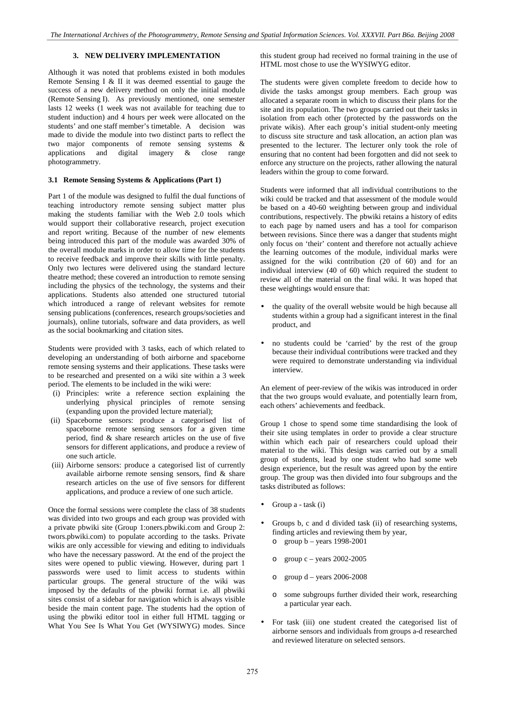## **3. NEW DELIVERY IMPLEMENTATION**

Although it was noted that problems existed in both modules Remote Sensing I & II it was deemed essential to gauge the success of a new delivery method on only the initial module (Remote Sensing I). As previously mentioned, one semester lasts 12 weeks (1 week was not available for teaching due to student induction) and 4 hours per week were allocated on the students' and one staff member's timetable. A decision was made to divide the module into two distinct parts to reflect the two major components of remote sensing systems & applications and digital imagery & close range photogrammetry.

## **3.1 Remote Sensing Systems & Applications (Part 1)**

Part 1 of the module was designed to fulfil the dual functions of teaching introductory remote sensing subject matter plus making the students familiar with the Web 2.0 tools which would support their collaborative research, project execution and report writing. Because of the number of new elements being introduced this part of the module was awarded 30% of the overall module marks in order to allow time for the students to receive feedback and improve their skills with little penalty. Only two lectures were delivered using the standard lecture theatre method; these covered an introduction to remote sensing including the physics of the technology, the systems and their applications. Students also attended one structured tutorial which introduced a range of relevant websites for remote sensing publications (conferences, research groups/societies and journals), online tutorials, software and data providers, as well as the social bookmarking and citation sites.

Students were provided with 3 tasks, each of which related to developing an understanding of both airborne and spaceborne remote sensing systems and their applications. These tasks were to be researched and presented on a wiki site within a 3 week period. The elements to be included in the wiki were:

- (i) Principles: write a reference section explaining the underlying physical principles of remote sensing (expanding upon the provided lecture material);
- (ii) Spaceborne sensors: produce a categorised list of spaceborne remote sensing sensors for a given time period, find & share research articles on the use of five sensors for different applications, and produce a review of one such article.
- (iii) Airborne sensors: produce a categorised list of currently available airborne remote sensing sensors, find & share research articles on the use of five sensors for different applications, and produce a review of one such article.

Once the formal sessions were complete the class of 38 students was divided into two groups and each group was provided with a private pbwiki site (Group 1:oners.pbwiki.com and Group 2: twors.pbwiki.com) to populate according to the tasks. Private wikis are only accessible for viewing and editing to individuals who have the necessary password. At the end of the project the sites were opened to public viewing. However, during part 1 passwords were used to limit access to students within particular groups. The general structure of the wiki was imposed by the defaults of the pbwiki format i.e. all pbwiki sites consist of a sidebar for navigation which is always visible beside the main content page. The students had the option of using the pbwiki editor tool in either full HTML tagging or What You See Is What You Get (WYSIWYG) modes. Since this student group had received no formal training in the use of HTML most chose to use the WYSIWYG editor.

The students were given complete freedom to decide how to divide the tasks amongst group members. Each group was allocated a separate room in which to discuss their plans for the site and its population. The two groups carried out their tasks in isolation from each other (protected by the passwords on the private wikis). After each group's initial student-only meeting to discuss site structure and task allocation, an action plan was presented to the lecturer. The lecturer only took the role of ensuring that no content had been forgotten and did not seek to enforce any structure on the projects, rather allowing the natural leaders within the group to come forward.

Students were informed that all individual contributions to the wiki could be tracked and that assessment of the module would be based on a 40-60 weighting between group and individual contributions, respectively. The pbwiki retains a history of edits to each page by named users and has a tool for comparison between revisions. Since there was a danger that students might only focus on 'their' content and therefore not actually achieve the learning outcomes of the module, individual marks were assigned for the wiki contribution (20 of 60) and for an individual interview (40 of 60) which required the student to review all of the material on the final wiki. It was hoped that these weightings would ensure that:

- the quality of the overall website would be high because all students within a group had a significant interest in the final product, and
- no students could be 'carried' by the rest of the group because their individual contributions were tracked and they were required to demonstrate understanding via individual interview.

An element of peer-review of the wikis was introduced in order that the two groups would evaluate, and potentially learn from, each others' achievements and feedback.

Group 1 chose to spend some time standardising the look of their site using templates in order to provide a clear structure within which each pair of researchers could upload their material to the wiki. This design was carried out by a small group of students, lead by one student who had some web design experience, but the result was agreed upon by the entire group. The group was then divided into four subgroups and the tasks distributed as follows:

- Group a task (i)
- Groups b, c and d divided task (ii) of researching systems, finding articles and reviewing them by year,
	- $\circ$  group  $b$  years 1998-2001
	- group  $c$  years 2002-2005
	- $\degree$  group d years 2006-2008
	- o some subgroups further divided their work, researching a particular year each.
- For task (iii) one student created the categorised list of airborne sensors and individuals from groups a-d researched and reviewed literature on selected sensors.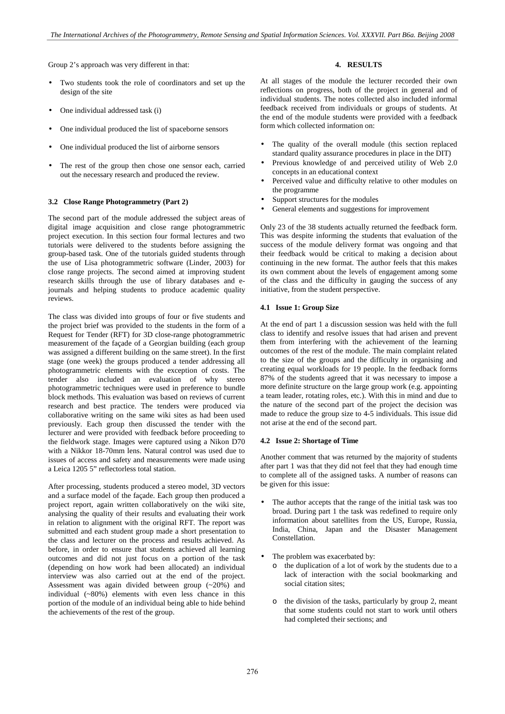Group 2's approach was very different in that:

- Two students took the role of coordinators and set up the design of the site
- One individual addressed task (i)
- One individual produced the list of spaceborne sensors
- One individual produced the list of airborne sensors
- The rest of the group then chose one sensor each, carried out the necessary research and produced the review.

#### **3.2 Close Range Photogrammetry (Part 2)**

The second part of the module addressed the subject areas of digital image acquisition and close range photogrammetric project execution. In this section four formal lectures and two tutorials were delivered to the students before assigning the group-based task. One of the tutorials guided students through the use of Lisa photogrammetric software (Linder, 2003) for close range projects. The second aimed at improving student research skills through the use of library databases and ejournals and helping students to produce academic quality reviews.

The class was divided into groups of four or five students and the project brief was provided to the students in the form of a Request for Tender (RFT) for 3D close-range photogrammetric measurement of the façade of a Georgian building (each group was assigned a different building on the same street). In the first stage (one week) the groups produced a tender addressing all photogrammetric elements with the exception of costs. The tender also included an evaluation of why stereo photogrammetric techniques were used in preference to bundle block methods. This evaluation was based on reviews of current research and best practice. The tenders were produced via collaborative writing on the same wiki sites as had been used previously. Each group then discussed the tender with the lecturer and were provided with feedback before proceeding to the fieldwork stage. Images were captured using a Nikon D70 with a Nikkor 18-70mm lens. Natural control was used due to issues of access and safety and measurements were made using a Leica 1205 5" reflectorless total station.

After processing, students produced a stereo model, 3D vectors and a surface model of the façade. Each group then produced a project report, again written collaboratively on the wiki site, analysing the quality of their results and evaluating their work in relation to alignment with the original RFT. The report was submitted and each student group made a short presentation to the class and lecturer on the process and results achieved. As before, in order to ensure that students achieved all learning outcomes and did not just focus on a portion of the task (depending on how work had been allocated) an individual interview was also carried out at the end of the project. Assessment was again divided between group (~20%) and individual (~80%) elements with even less chance in this portion of the module of an individual being able to hide behind the achievements of the rest of the group.

## **4. RESULTS**

At all stages of the module the lecturer recorded their own reflections on progress, both of the project in general and of individual students. The notes collected also included informal feedback received from individuals or groups of students. At the end of the module students were provided with a feedback form which collected information on:

- The quality of the overall module (this section replaced standard quality assurance procedures in place in the DIT)
- Previous knowledge of and perceived utility of Web 2.0 concepts in an educational context
- Perceived value and difficulty relative to other modules on the programme
- Support structures for the modules
- General elements and suggestions for improvement

Only 23 of the 38 students actually returned the feedback form. This was despite informing the students that evaluation of the success of the module delivery format was ongoing and that their feedback would be critical to making a decision about continuing in the new format. The author feels that this makes its own comment about the levels of engagement among some of the class and the difficulty in gauging the success of any initiative, from the student perspective.

#### **4.1 Issue 1: Group Size**

At the end of part 1 a discussion session was held with the full class to identify and resolve issues that had arisen and prevent them from interfering with the achievement of the learning outcomes of the rest of the module. The main complaint related to the size of the groups and the difficulty in organising and creating equal workloads for 19 people. In the feedback forms 87% of the students agreed that it was necessary to impose a more definite structure on the large group work (e.g. appointing a team leader, rotating roles, etc.). With this in mind and due to the nature of the second part of the project the decision was made to reduce the group size to 4-5 individuals. This issue did not arise at the end of the second part.

## **4.2 Issue 2: Shortage of Time**

Another comment that was returned by the majority of students after part 1 was that they did not feel that they had enough time to complete all of the assigned tasks. A number of reasons can be given for this issue:

- The author accepts that the range of the initial task was too broad. During part 1 the task was redefined to require only information about satellites from the US, Europe, Russia, India, China, Japan and the Disaster Management Constellation.
- The problem was exacerbated by:
	- o the duplication of a lot of work by the students due to a lack of interaction with the social bookmarking and social citation sites;
	- o the division of the tasks, particularly by group 2, meant that some students could not start to work until others had completed their sections; and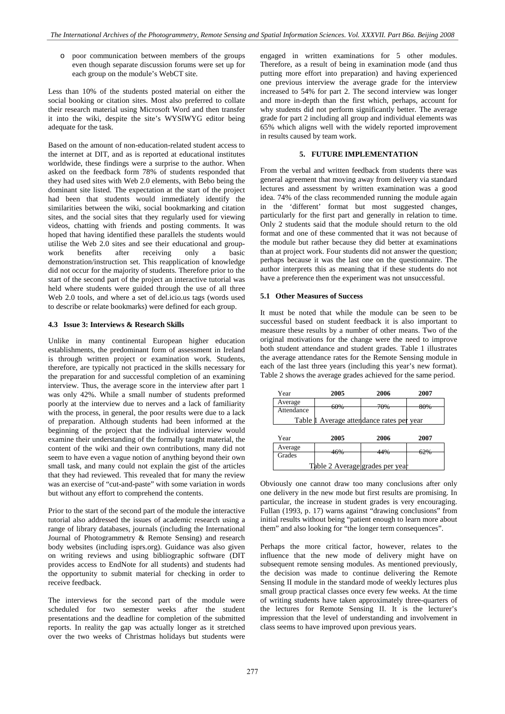o poor communication between members of the groups even though separate discussion forums were set up for each group on the module's WebCT site.

Less than 10% of the students posted material on either the social booking or citation sites. Most also preferred to collate their research material using Microsoft Word and then transfer it into the wiki, despite the site's WYSIWYG editor being adequate for the task.

Based on the amount of non-education-related student access to the internet at DIT, and as is reported at educational institutes worldwide, these findings were a surprise to the author. When asked on the feedback form 78% of students responded that they had used sites with Web 2.0 elements, with Bebo being the dominant site listed. The expectation at the start of the project had been that students would immediately identify the similarities between the wiki, social bookmarking and citation sites, and the social sites that they regularly used for viewing videos, chatting with friends and posting comments. It was hoped that having identified these parallels the students would utilise the Web 2.0 sites and see their educational and groupwork benefits after receiving only a basic demonstration/instruction set. This reapplication of knowledge did not occur for the majority of students. Therefore prior to the start of the second part of the project an interactive tutorial was held where students were guided through the use of all three Web 2.0 tools, and where a set of del.icio.us tags (words used to describe or relate bookmarks) were defined for each group.

## **4.3 Issue 3: Interviews & Research Skills**

Unlike in many continental European higher education establishments, the predominant form of assessment in Ireland is through written project or examination work. Students, therefore, are typically not practiced in the skills necessary for the preparation for and successful completion of an examining interview. Thus, the average score in the interview after part 1 was only 42%. While a small number of students preformed poorly at the interview due to nerves and a lack of familiarity with the process, in general, the poor results were due to a lack of preparation. Although students had been informed at the beginning of the project that the individual interview would examine their understanding of the formally taught material, the content of the wiki and their own contributions, many did not seem to have even a vague notion of anything beyond their own small task, and many could not explain the gist of the articles that they had reviewed. This revealed that for many the review was an exercise of "cut-and-paste" with some variation in words but without any effort to comprehend the contents.

Prior to the start of the second part of the module the interactive tutorial also addressed the issues of academic research using a range of library databases, journals (including the International Journal of Photogrammetry & Remote Sensing) and research body websites (including isprs.org). Guidance was also given on writing reviews and using bibliographic software (DIT provides access to EndNote for all students) and students had the opportunity to submit material for checking in order to receive feedback.

The interviews for the second part of the module were scheduled for two semester weeks after the student presentations and the deadline for completion of the submitted reports. In reality the gap was actually longer as it stretched over the two weeks of Christmas holidays but students were engaged in written examinations for 5 other modules. Therefore, as a result of being in examination mode (and thus putting more effort into preparation) and having experienced one previous interview the average grade for the interview increased to 54% for part 2. The second interview was longer and more in-depth than the first which, perhaps, account for why students did not perform significantly better. The average grade for part 2 including all group and individual elements was 65% which aligns well with the widely reported improvement in results caused by team work.

#### **5. FUTURE IMPLEMENTATION**

From the verbal and written feedback from students there was general agreement that moving away from delivery via standard lectures and assessment by written examination was a good idea. 74% of the class recommended running the module again in the 'different' format but most suggested changes, particularly for the first part and generally in relation to time. Only 2 students said that the module should return to the old format and one of these commented that it was not because of the module but rather because they did better at examinations than at project work. Four students did not answer the question; perhaps because it was the last one on the questionnaire. The author interprets this as meaning that if these students do not have a preference then the experiment was not unsuccessful.

### **5.1 Other Measures of Success**

It must be noted that while the module can be seen to be successful based on student feedback it is also important to measure these results by a number of other means. Two of the original motivations for the change were the need to improve both student attendance and student grades. Table 1 illustrates the average attendance rates for the Remote Sensing module in each of the last three years (including this year's new format). Table 2 shows the average grades achieved for the same period.

| Year       | 2005                                      | 2006 | 2007 |
|------------|-------------------------------------------|------|------|
| Average    | $\epsilon$ 00/                            | 700' | 000' |
| Attendance | OU 70                                     | 1070 | 00/0 |
|            | Table 1 Average attendance rates per year |      |      |

| Year                            | 2005 | 2006            | 2007   |  |
|---------------------------------|------|-----------------|--------|--|
| Average                         | 101  | $\overline{AB}$ | $\sim$ |  |
| Grades                          | 40%  | 4470            | UZ 70  |  |
| Table 2 Average grades per year |      |                 |        |  |

Obviously one cannot draw too many conclusions after only one delivery in the new mode but first results are promising. In particular, the increase in student grades is very encouraging. Fullan (1993, p. 17) warns against "drawing conclusions" from initial results without being "patient enough to learn more about them" and also looking for "the longer term consequences".

Perhaps the more critical factor, however, relates to the influence that the new mode of delivery might have on subsequent remote sensing modules. As mentioned previously, the decision was made to continue delivering the Remote Sensing II module in the standard mode of weekly lectures plus small group practical classes once every few weeks. At the time of writing students have taken approximately three-quarters of the lectures for Remote Sensing II. It is the lecturer's impression that the level of understanding and involvement in class seems to have improved upon previous years.